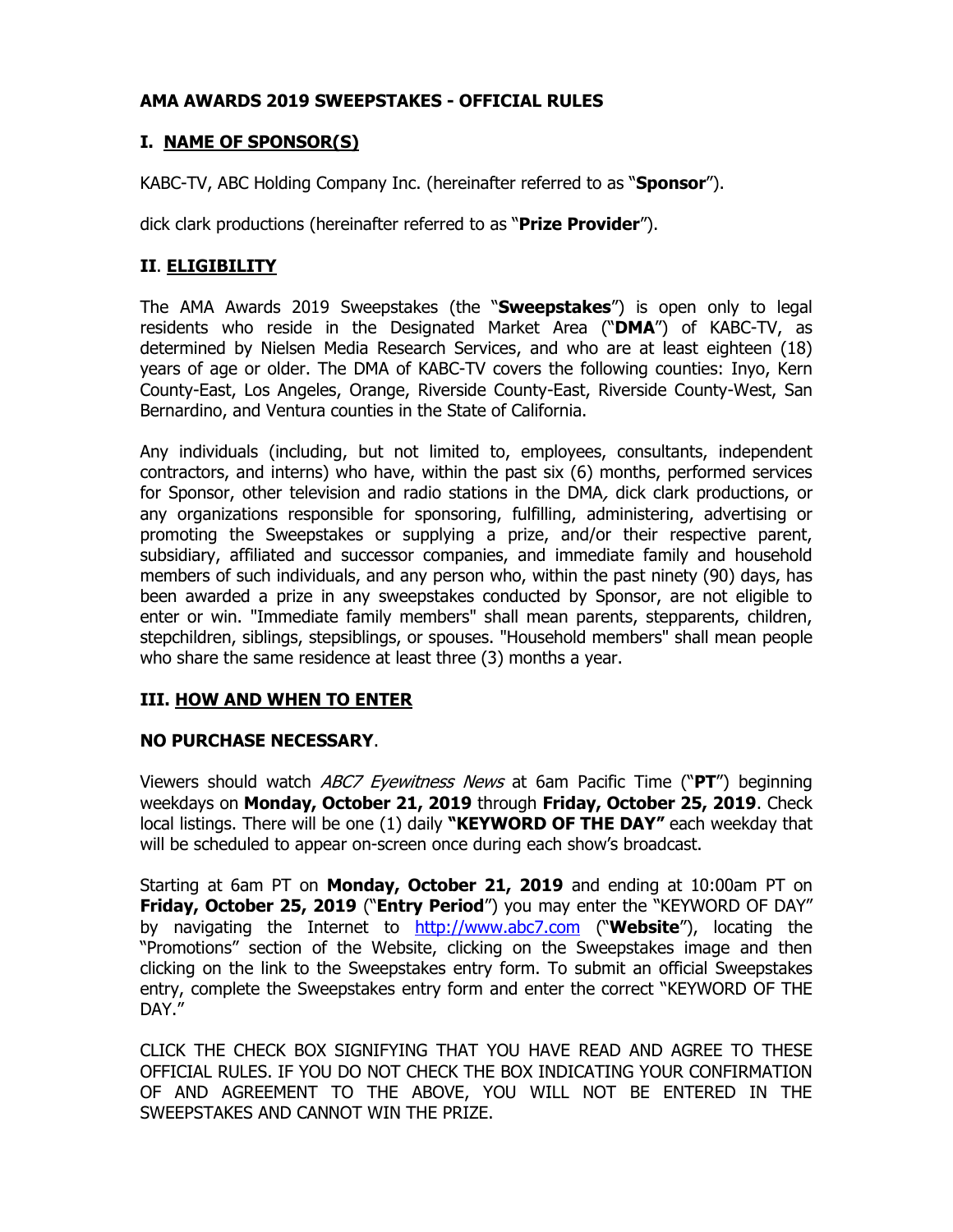## **AMA AWARDS 2019 SWEEPSTAKES - OFFICIAL RULES**

## **I. NAME OF SPONSOR(S)**

KABC-TV, ABC Holding Company Inc. (hereinafter referred to as "**Sponsor**").

dick clark productions (hereinafter referred to as "**Prize Provider**").

# **II**. **ELIGIBILITY**

The AMA Awards 2019 Sweepstakes (the "**Sweepstakes**") is open only to legal residents who reside in the Designated Market Area ("**DMA**") of KABC-TV, as determined by Nielsen Media Research Services, and who are at least eighteen (18) years of age or older. The DMA of KABC-TV covers the following counties: Inyo, Kern County-East, Los Angeles, Orange, Riverside County-East, Riverside County-West, San Bernardino, and Ventura counties in the State of California.

Any individuals (including, but not limited to, employees, consultants, independent contractors, and interns) who have, within the past six (6) months, performed services for Sponsor, other television and radio stations in the DMA, dick clark productions, or any organizations responsible for sponsoring, fulfilling, administering, advertising or promoting the Sweepstakes or supplying a prize, and/or their respective parent, subsidiary, affiliated and successor companies, and immediate family and household members of such individuals, and any person who, within the past ninety (90) days, has been awarded a prize in any sweepstakes conducted by Sponsor, are not eligible to enter or win. "Immediate family members" shall mean parents, stepparents, children, stepchildren, siblings, stepsiblings, or spouses. "Household members" shall mean people who share the same residence at least three (3) months a year.

## **III. HOW AND WHEN TO ENTER**

### **NO PURCHASE NECESSARY**.

Viewers should watch ABC7 Eyewitness News at 6am Pacific Time ("**PT**") beginning weekdays on **Monday, October 21, 2019** through **Friday, October 25, 2019**. Check local listings. There will be one (1) daily **"KEYWORD OF THE DAY"** each weekday that will be scheduled to appear on-screen once during each show's broadcast.

Starting at 6am PT on **Monday, October 21, 2019** and ending at 10:00am PT on **Friday, October 25, 2019** ("**Entry Period**") you may enter the "KEYWORD OF DAY" by navigating the Internet to [http://www.abc7.com](http://www.abc7.com/) ("**Website**"), locating the "Promotions" section of the Website, clicking on the Sweepstakes image and then clicking on the link to the Sweepstakes entry form. To submit an official Sweepstakes entry, complete the Sweepstakes entry form and enter the correct "KEYWORD OF THE DAY."

CLICK THE CHECK BOX SIGNIFYING THAT YOU HAVE READ AND AGREE TO THESE OFFICIAL RULES. IF YOU DO NOT CHECK THE BOX INDICATING YOUR CONFIRMATION OF AND AGREEMENT TO THE ABOVE, YOU WILL NOT BE ENTERED IN THE SWEEPSTAKES AND CANNOT WIN THE PRIZE.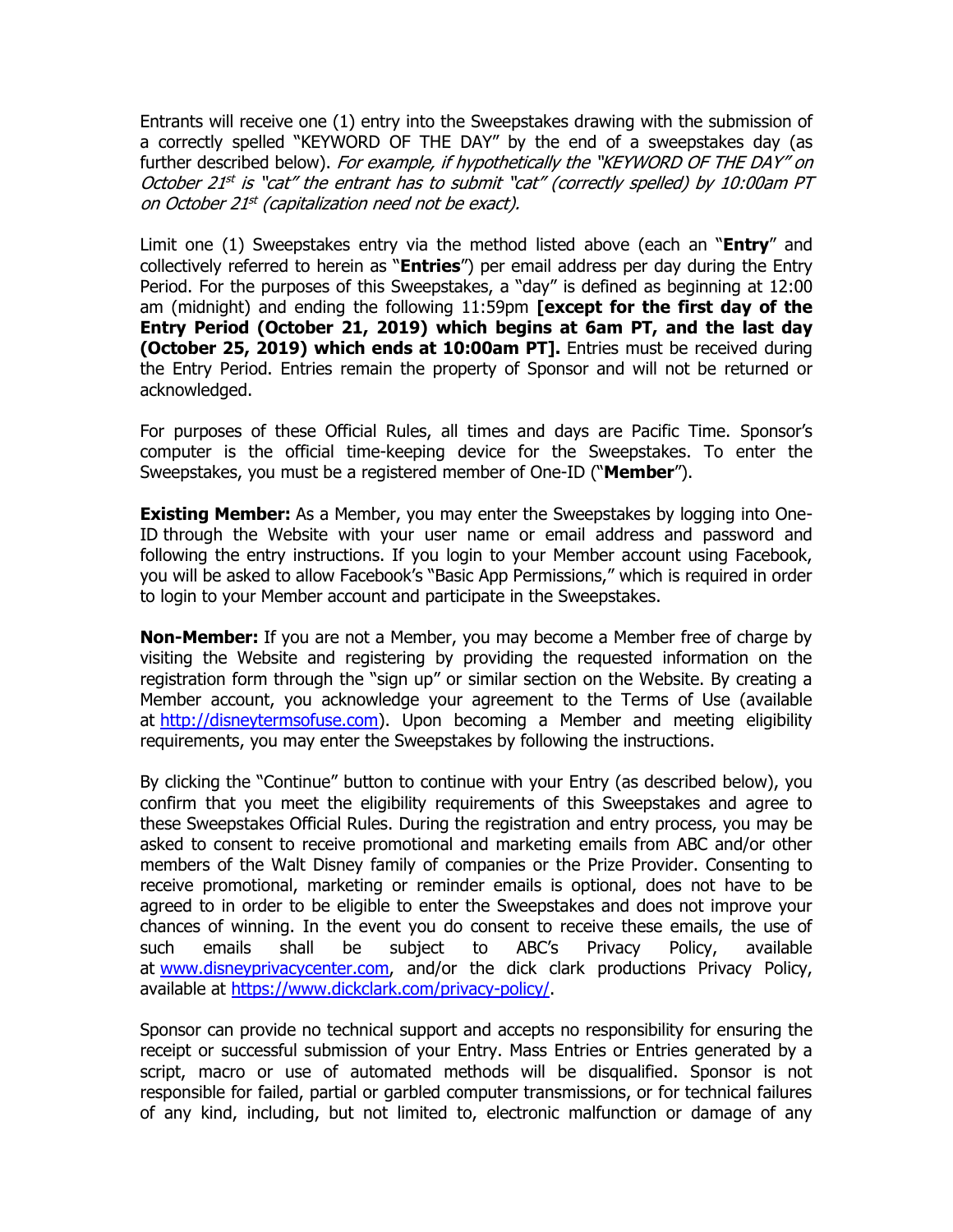Entrants will receive one (1) entry into the Sweepstakes drawing with the submission of a correctly spelled "KEYWORD OF THE DAY" by the end of a sweepstakes day (as further described below). For example, if hypothetically the "KEYWORD OF THE DAY" on October 21<sup>st</sup> is "cat" the entrant has to submit "cat" (correctly spelled) by 10:00am PT on October 21st (capitalization need not be exact).

Limit one (1) Sweepstakes entry via the method listed above (each an "**Entry**" and collectively referred to herein as "**Entries**") per email address per day during the Entry Period. For the purposes of this Sweepstakes, a "day" is defined as beginning at 12:00 am (midnight) and ending the following 11:59pm **[except for the first day of the Entry Period (October 21, 2019) which begins at 6am PT, and the last day (October 25, 2019) which ends at 10:00am PT].** Entries must be received during the Entry Period. Entries remain the property of Sponsor and will not be returned or acknowledged.

For purposes of these Official Rules, all times and days are Pacific Time. Sponsor's computer is the official time-keeping device for the Sweepstakes. To enter the Sweepstakes, you must be a registered member of One-ID ("**Member**").

**Existing Member:** As a Member, you may enter the Sweepstakes by logging into One-ID through the Website with your user name or email address and password and following the entry instructions. If you login to your Member account using Facebook, you will be asked to allow Facebook's "Basic App Permissions," which is required in order to login to your Member account and participate in the Sweepstakes.

**Non-Member:** If you are not a Member, you may become a Member free of charge by visiting the Website and registering by providing the requested information on the registration form through the "sign up" or similar section on the Website. By creating a Member account, you acknowledge your agreement to the Terms of Use (available at [http://disneytermsofuse.com\)](http://disneytermsofuse.com/). Upon becoming a Member and meeting eligibility requirements, you may enter the Sweepstakes by following the instructions.

By clicking the "Continue" button to continue with your Entry (as described below), you confirm that you meet the eligibility requirements of this Sweepstakes and agree to these Sweepstakes Official Rules. During the registration and entry process, you may be asked to consent to receive promotional and marketing emails from ABC and/or other members of the Walt Disney family of companies or the Prize Provider. Consenting to receive promotional, marketing or reminder emails is optional, does not have to be agreed to in order to be eligible to enter the Sweepstakes and does not improve your chances of winning. In the event you do consent to receive these emails, the use of such emails shall be subject to ABC's Privacy Policy, available at [www.disneyprivacycenter.com,](http://www.disneyprivacycenter.com/) and/or the dick clark productions Privacy Policy, available at [https://www.dickclark.com/privacy-policy/.](https://www.dickclark.com/privacy-policy/)

Sponsor can provide no technical support and accepts no responsibility for ensuring the receipt or successful submission of your Entry. Mass Entries or Entries generated by a script, macro or use of automated methods will be disqualified. Sponsor is not responsible for failed, partial or garbled computer transmissions, or for technical failures of any kind, including, but not limited to, electronic malfunction or damage of any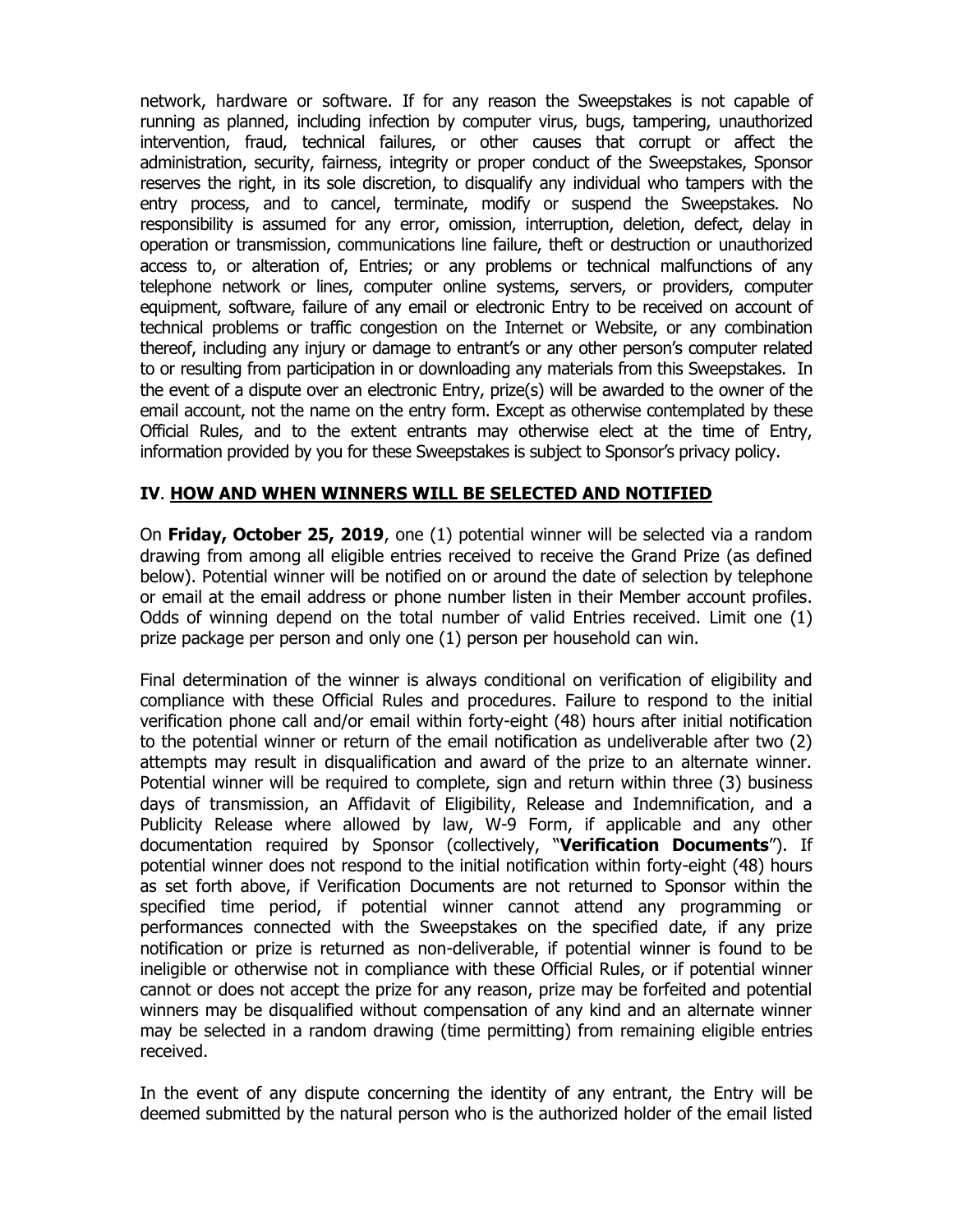network, hardware or software. If for any reason the Sweepstakes is not capable of running as planned, including infection by computer virus, bugs, tampering, unauthorized intervention, fraud, technical failures, or other causes that corrupt or affect the administration, security, fairness, integrity or proper conduct of the Sweepstakes, Sponsor reserves the right, in its sole discretion, to disqualify any individual who tampers with the entry process, and to cancel, terminate, modify or suspend the Sweepstakes. No responsibility is assumed for any error, omission, interruption, deletion, defect, delay in operation or transmission, communications line failure, theft or destruction or unauthorized access to, or alteration of, Entries; or any problems or technical malfunctions of any telephone network or lines, computer online systems, servers, or providers, computer equipment, software, failure of any email or electronic Entry to be received on account of technical problems or traffic congestion on the Internet or Website, or any combination thereof, including any injury or damage to entrant's or any other person's computer related to or resulting from participation in or downloading any materials from this Sweepstakes. In the event of a dispute over an electronic Entry, prize(s) will be awarded to the owner of the email account, not the name on the entry form. Except as otherwise contemplated by these Official Rules, and to the extent entrants may otherwise elect at the time of Entry, information provided by you for these Sweepstakes is subject to Sponsor's privacy policy.

### **IV**. **HOW AND WHEN WINNERS WILL BE SELECTED AND NOTIFIED**

On **Friday, October 25, 2019**, one (1) potential winner will be selected via a random drawing from among all eligible entries received to receive the Grand Prize (as defined below). Potential winner will be notified on or around the date of selection by telephone or email at the email address or phone number listen in their Member account profiles. Odds of winning depend on the total number of valid Entries received. Limit one (1) prize package per person and only one (1) person per household can win.

Final determination of the winner is always conditional on verification of eligibility and compliance with these Official Rules and procedures. Failure to respond to the initial verification phone call and/or email within forty-eight (48) hours after initial notification to the potential winner or return of the email notification as undeliverable after two (2) attempts may result in disqualification and award of the prize to an alternate winner. Potential winner will be required to complete, sign and return within three (3) business days of transmission, an Affidavit of Eligibility, Release and Indemnification, and a Publicity Release where allowed by law, W-9 Form, if applicable and any other documentation required by Sponsor (collectively, "**Verification Documents**"). If potential winner does not respond to the initial notification within forty-eight (48) hours as set forth above, if Verification Documents are not returned to Sponsor within the specified time period, if potential winner cannot attend any programming or performances connected with the Sweepstakes on the specified date, if any prize notification or prize is returned as non-deliverable, if potential winner is found to be ineligible or otherwise not in compliance with these Official Rules, or if potential winner cannot or does not accept the prize for any reason, prize may be forfeited and potential winners may be disqualified without compensation of any kind and an alternate winner may be selected in a random drawing (time permitting) from remaining eligible entries received.

In the event of any dispute concerning the identity of any entrant, the Entry will be deemed submitted by the natural person who is the authorized holder of the email listed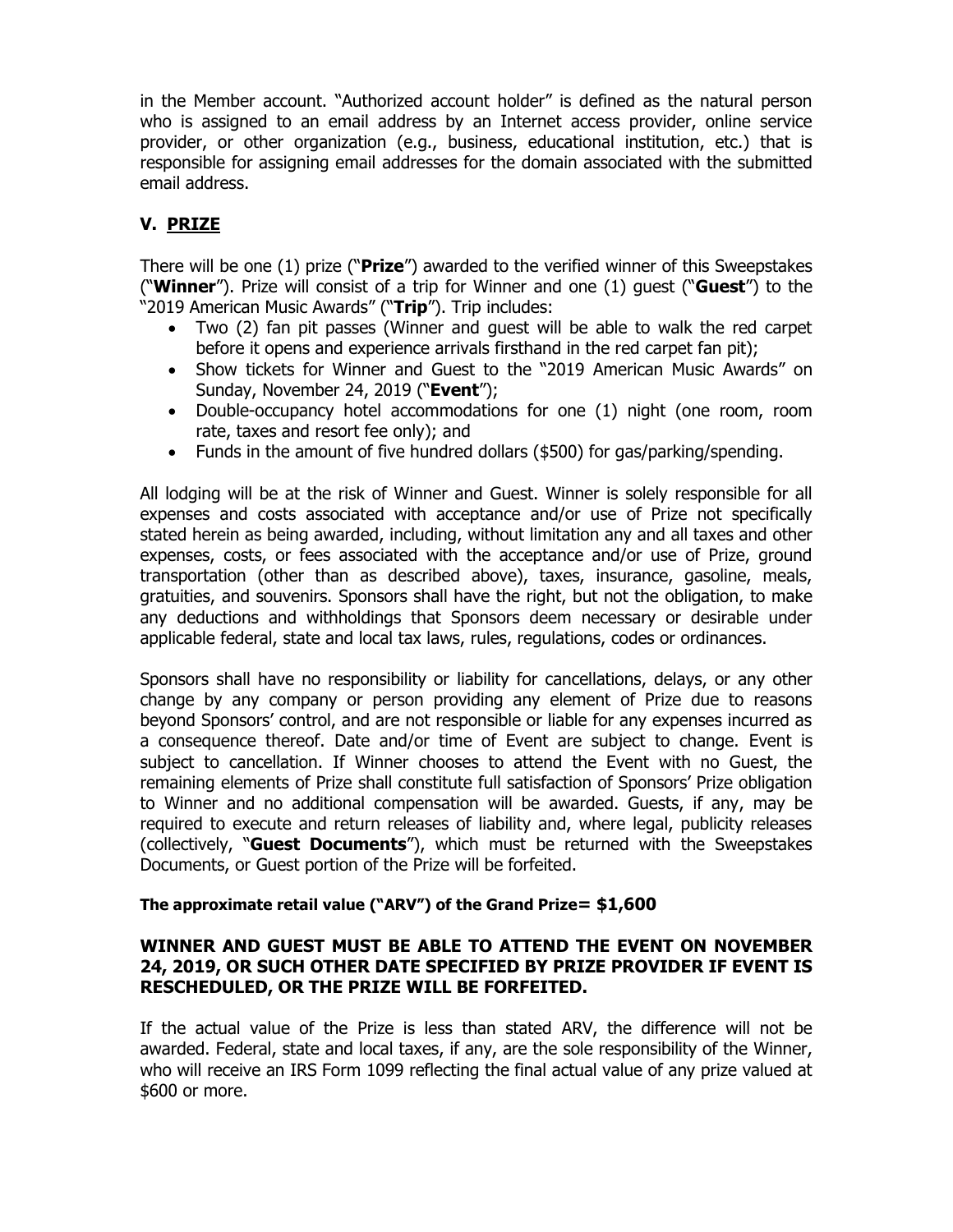in the Member account. "Authorized account holder" is defined as the natural person who is assigned to an email address by an Internet access provider, online service provider, or other organization (e.g., business, educational institution, etc.) that is responsible for assigning email addresses for the domain associated with the submitted email address.

## **V. PRIZE**

There will be one (1) prize ("**Prize**") awarded to the verified winner of this Sweepstakes ("**Winner**"). Prize will consist of a trip for Winner and one (1) guest ("**Guest**") to the "2019 American Music Awards" ("**Trip**"). Trip includes:

- Two (2) fan pit passes (Winner and guest will be able to walk the red carpet before it opens and experience arrivals firsthand in the red carpet fan pit);
- Show tickets for Winner and Guest to the "2019 American Music Awards" on Sunday, November 24, 2019 ("**Event**");
- Double-occupancy hotel accommodations for one (1) night (one room, room rate, taxes and resort fee only); and
- Funds in the amount of five hundred dollars (\$500) for gas/parking/spending.

All lodging will be at the risk of Winner and Guest. Winner is solely responsible for all expenses and costs associated with acceptance and/or use of Prize not specifically stated herein as being awarded, including, without limitation any and all taxes and other expenses, costs, or fees associated with the acceptance and/or use of Prize, ground transportation (other than as described above), taxes, insurance, gasoline, meals, gratuities, and souvenirs. Sponsors shall have the right, but not the obligation, to make any deductions and withholdings that Sponsors deem necessary or desirable under applicable federal, state and local tax laws, rules, regulations, codes or ordinances.

Sponsors shall have no responsibility or liability for cancellations, delays, or any other change by any company or person providing any element of Prize due to reasons beyond Sponsors' control, and are not responsible or liable for any expenses incurred as a consequence thereof. Date and/or time of Event are subject to change. Event is subject to cancellation. If Winner chooses to attend the Event with no Guest, the remaining elements of Prize shall constitute full satisfaction of Sponsors' Prize obligation to Winner and no additional compensation will be awarded. Guests, if any, may be required to execute and return releases of liability and, where legal, publicity releases (collectively, "**Guest Documents**"), which must be returned with the Sweepstakes Documents, or Guest portion of the Prize will be forfeited.

#### **The approximate retail value ("ARV") of the Grand Prize= \$1,600**

#### **WINNER AND GUEST MUST BE ABLE TO ATTEND THE EVENT ON NOVEMBER 24, 2019, OR SUCH OTHER DATE SPECIFIED BY PRIZE PROVIDER IF EVENT IS RESCHEDULED, OR THE PRIZE WILL BE FORFEITED.**

If the actual value of the Prize is less than stated ARV, the difference will not be awarded. Federal, state and local taxes, if any, are the sole responsibility of the Winner, who will receive an IRS Form 1099 reflecting the final actual value of any prize valued at \$600 or more.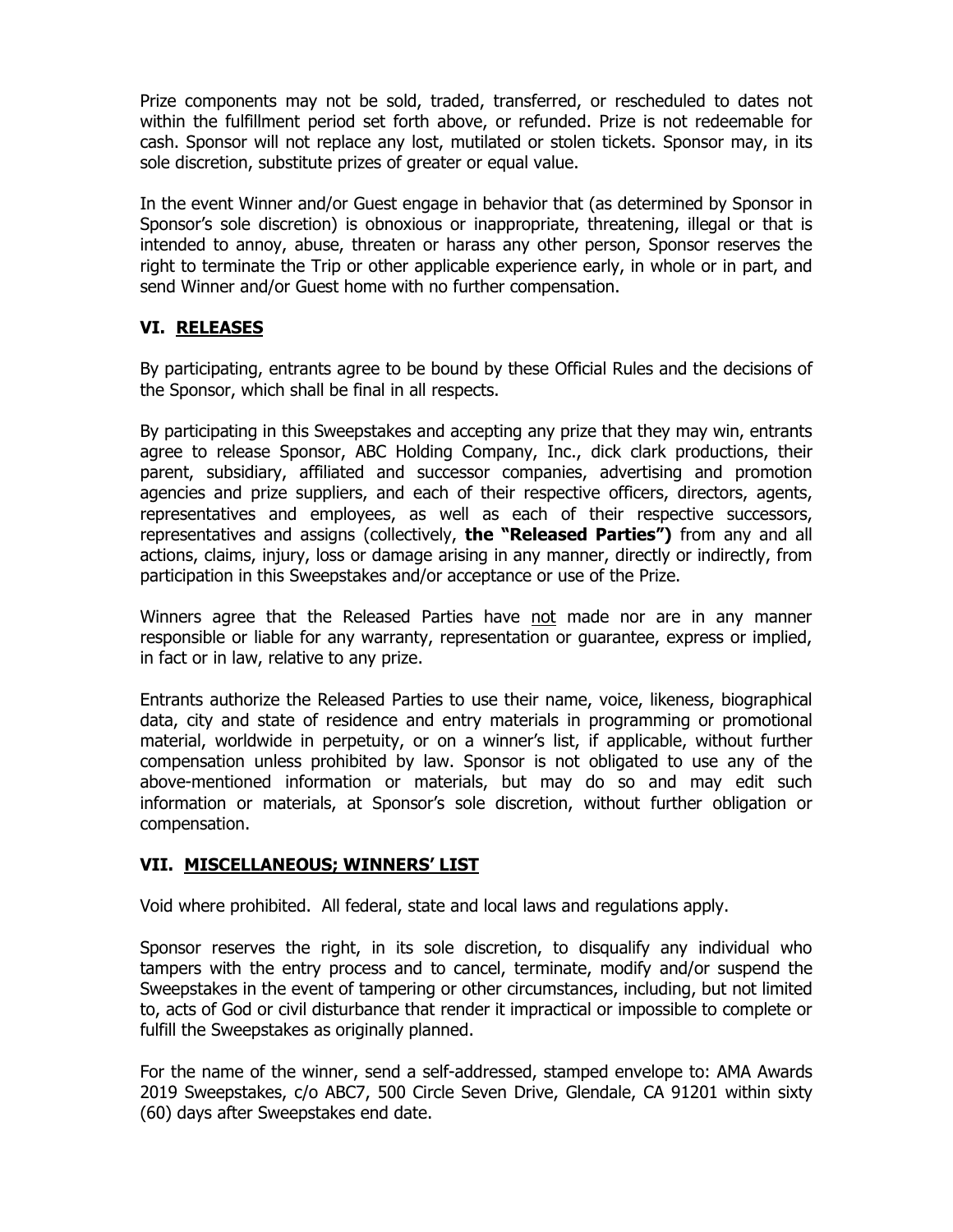Prize components may not be sold, traded, transferred, or rescheduled to dates not within the fulfillment period set forth above, or refunded. Prize is not redeemable for cash. Sponsor will not replace any lost, mutilated or stolen tickets. Sponsor may, in its sole discretion, substitute prizes of greater or equal value.

In the event Winner and/or Guest engage in behavior that (as determined by Sponsor in Sponsor's sole discretion) is obnoxious or inappropriate, threatening, illegal or that is intended to annoy, abuse, threaten or harass any other person, Sponsor reserves the right to terminate the Trip or other applicable experience early, in whole or in part, and send Winner and/or Guest home with no further compensation.

## **VI. RELEASES**

By participating, entrants agree to be bound by these Official Rules and the decisions of the Sponsor, which shall be final in all respects.

By participating in this Sweepstakes and accepting any prize that they may win, entrants agree to release Sponsor, ABC Holding Company, Inc., dick clark productions, their parent, subsidiary, affiliated and successor companies, advertising and promotion agencies and prize suppliers, and each of their respective officers, directors, agents, representatives and employees, as well as each of their respective successors, representatives and assigns (collectively, **the "Released Parties")** from any and all actions, claims, injury, loss or damage arising in any manner, directly or indirectly, from participation in this Sweepstakes and/or acceptance or use of the Prize.

Winners agree that the Released Parties have not made nor are in any manner responsible or liable for any warranty, representation or guarantee, express or implied, in fact or in law, relative to any prize.

Entrants authorize the Released Parties to use their name, voice, likeness, biographical data, city and state of residence and entry materials in programming or promotional material, worldwide in perpetuity, or on a winner's list, if applicable, without further compensation unless prohibited by law. Sponsor is not obligated to use any of the above-mentioned information or materials, but may do so and may edit such information or materials, at Sponsor's sole discretion, without further obligation or compensation.

### **VII. MISCELLANEOUS; WINNERS' LIST**

Void where prohibited. All federal, state and local laws and regulations apply.

Sponsor reserves the right, in its sole discretion, to disqualify any individual who tampers with the entry process and to cancel, terminate, modify and/or suspend the Sweepstakes in the event of tampering or other circumstances, including, but not limited to, acts of God or civil disturbance that render it impractical or impossible to complete or fulfill the Sweepstakes as originally planned.

For the name of the winner, send a self-addressed, stamped envelope to: AMA Awards 2019 Sweepstakes, c/o ABC7, 500 Circle Seven Drive, Glendale, CA 91201 within sixty (60) days after Sweepstakes end date.